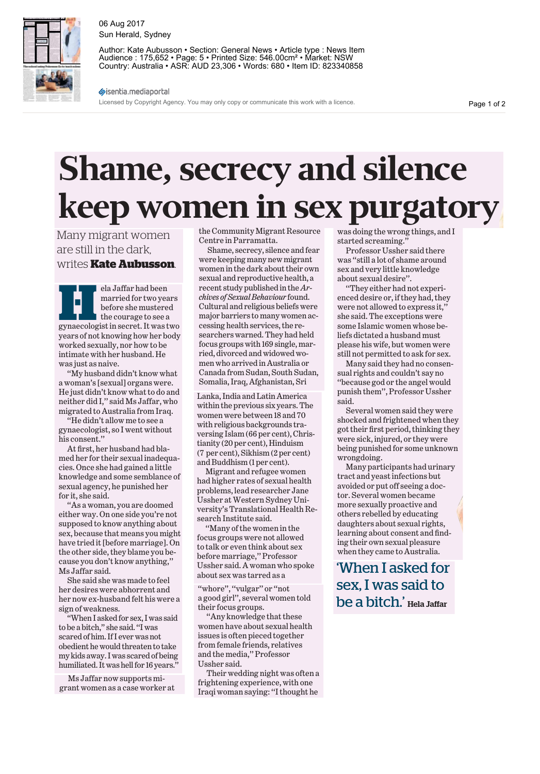

06 Aug 2017 Sun Herald, Sydney

Author: Kate Aubusson • Section: General News • Article type : News Item Audience : 175,652 • Page: 5 • Printed Size: 546.00cm² • Market: NSW Country: Australia • ASR: AUD 23,306 • Words: 680 • Item ID: 823340858

sisentia.mediaportal

Licensed by Copyright Agency. You may only copy or communicate this work with a licence.

Page 1 of 2

## **Shame, secrecy and silence keep women in sex purgatory**

Many migrant women are still in the dark, writes **Kate Aubusson**.

**Hela Jaffar had been**<br>
married for two years<br>
before she mustered<br>
the courage to see a<br>
gynaecologist in secret. It was two married for two years before she mustered the courage to see a years of not knowing how her body worked sexually, nor how to be intimate with her husband. He was just as naive.

''My husband didn't know what a woman's [sexual] organs were. He just didn't know what to do and neither did I,'' said Ms Jaffar, who migrated to Australia from Iraq.

''He didn't allow me to see a gynaecologist, so I went without his consent.''

At first, her husband had blamed her for their sexual inadequacies. Once she had gained a little knowledge and some semblance of sexual agency, he punished her for it, she said.

''As a woman, you are doomed either way. On one side you're not supposed to know anything about sex, because that means you might have tried it [before marriage]. On the other side, they blame you because you don't know anything,'' Ms Jaffar said.

She said she was made to feel her desires were abhorrent and her now ex-husband felt his were a sign of weakness.

'When I asked for sex, I was said to be a bitch,'' she said. ''I was scared of him. If I ever was not obedient he would threaten to take my kids away. I was scared of being humiliated. It was hell for 16 years.

Ms Jaffar now supports migrant women as a case worker at the Community Migrant Resource Centre in Parramatta.

Shame, secrecy, silence and fear were keeping many new migrant women in the dark about their own sexual and reproductive health, a recent study published in the*Archives of Sexual Behaviour*found. Cultural and religious beliefs were major barriers to many women accessing health services, the researchers warned. They had held focus groups with 169 single, married, divorced and widowed women who arrived in Australia or Canada from Sudan, South Sudan, Somalia, Iraq, Afghanistan, Sri

Lanka, India and Latin America within the previous six years. The women were between 18 and 70 with religious backgrounds traversing Islam (66 per cent), Christianity (20 per cent), Hinduism (7 per cent), Sikhism (2 per cent) and Buddhism (1 per cent).

Migrant and refugee women had higher rates of sexual health problems, lead researcher Jane Ussher atWestern Sydney University's Translational Health Research Institute said.

''Many of the women in the focus groups were not allowed to talk or even think about sex before marriage,'' Professor Ussher said. A woman who spoke about sex was tarred as a

"whore", "vulgar" or "not a good girl'', several women told their focus groups.

''Any knowledge that these women have about sexual health issues is often pieced together from female friends, relatives and the media,'' Professor Ussher said.

Their wedding night was often a frightening experience, with one Iraqi woman saying: ''I thought he was doing the wrong things, and I started screaming.''

Professor Ussher said there was ''still a lot of shame around sex and very little knowledge about sexual desire''.

''They either had not experienced desire or, if they had, they were not allowed to express it,'' she said. The exceptions were some Islamic women whose beliefs dictated a husband must please his wife, but women were still not permitted to ask for sex.

Many said they had no consensual rights and couldn't say no ''because god or the angel would punish them'', Professor Ussher said.

Several women said they were shocked and frightened when they got their first period, thinking they were sick, injured, or they were being punished for some unknown wrongdoing.

Many participants had urinary tract and yeast infections but avoided or put off seeing a doctor. Several women became more sexually proactive and others rebelled by educating daughters about sexual rights, learning about consent and finding their own sexual pleasure when they came to Australia.

'When I asked for sex, I was said to be a bitch.' Hela Jaffar